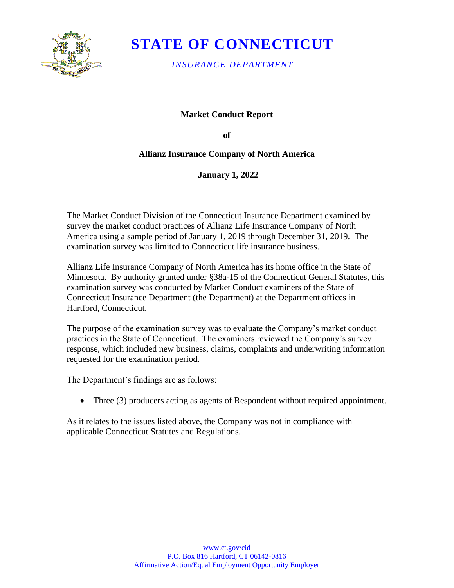

# **STATE OF CONNECTICUT**

*INSURANCE DEPARTMENT* 

### **Market Conduct Report**

**of** 

### **Allianz Insurance Company of North America**

**January 1, 2022** 

The Market Conduct Division of the Connecticut Insurance Department examined by survey the market conduct practices of Allianz Life Insurance Company of North America using a sample period of January 1, 2019 through December 31, 2019. The examination survey was limited to Connecticut life insurance business.

Allianz Life Insurance Company of North America has its home office in the State of Minnesota. By authority granted under §38a-15 of the Connecticut General Statutes, this examination survey was conducted by Market Conduct examiners of the State of Connecticut Insurance Department (the Department) at the Department offices in Hartford, Connecticut.

The purpose of the examination survey was to evaluate the Company's market conduct practices in the State of Connecticut. The examiners reviewed the Company's survey response, which included new business, claims, complaints and underwriting information requested for the examination period.

The Department's findings are as follows:

• Three (3) producers acting as agents of Respondent without required appointment.

As it relates to the issues listed above, the Company was not in compliance with applicable Connecticut Statutes and Regulations.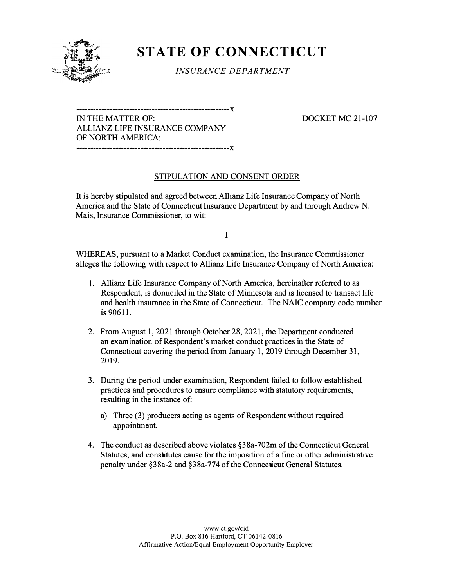

## **STATE OF CONNECTICUT**

*INSURANCE DEPARTMENT* 

IN THE MATTER OF: DOCKET MC 21-107 ALLIANZ LIFE INSURANCE COMPANY OF NORTH AMERICA:

**-------------------------------------------------------x** 

**-------------------------------------------------------x** 

### STIPULATION AND CONSENT ORDER

It is hereby stipulated and agreed between Allianz Life Insurance Company of North America and the State of Connecticut Insurance Department by and through Andrew N. Mais, Insurance Commissioner, to wit:

I

WHEREAS, pursuant to a Market Conduct examination, the Insurance Commissioner alleges the following with respect to Allianz Life Insurance Company of North America:

- 1. Allianz Life Insurance Company of North America, hereinafter referred to as Respondent, is domiciled in the State of Minnesota and is licensed to transact life and health insurance in the State of Connecticut. The NAIC company code number is 90611.
- 2. From August 1, 2021 through October 28, 2021, the Department conducted an examination of Respondent's market conduct practices in the State of Connecticut covering the period from January 1, 2019 through December 31, 2019.
- 3. During the period under examination, Respondent failed to follow established practices and procedures to ensure compliance with statutory requirements, resulting in the instance of:
	- a) Three (3) producers acting as agents of Respondent without required appointment.
- 4. The conduct as described above violates §38a-702m of the Connecticut General Statutes, and constitutes cause for the imposition of a fme or other administrative penalty under §38a-2 and §38a-774 of the Connecticut General Statutes.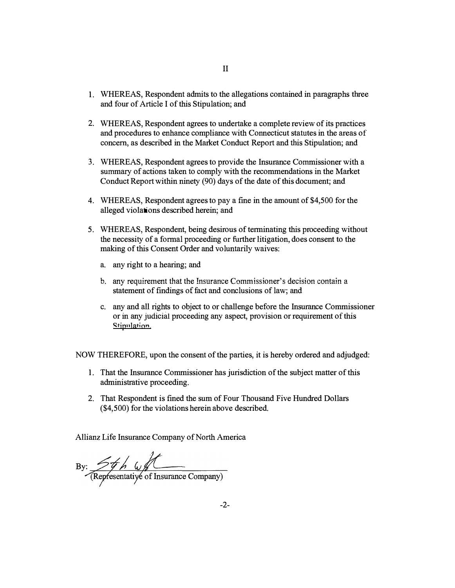- 1. WHEREAS, Respondent admits to the allegations contained in paragraphs three and four of Article I of this Stipulation; and
- 2. WHEREAS, Respondent agrees to undertake a complete review of its practices and procedures to enhance compliance with Connecticut statutes in the areas of concern, as described in the Market Conduct Report and this Stipulation; and
- 3. WHEREAS, Respondent agrees to provide the Insurance Commissioner with a summary of actions taken to comply with the recommendations in the Market Conduct Report within ninety (90) days of the date of this document; and
- 4. WHEREAS, Respondent agrees to pay a fine in the amount of \$4,500 for the alleged violations described herein; and
- 5. WHEREAS, Respondent, being desirous of terminating this proceeding without the necessity of a formal proceeding or further litigation, does consent to the making of this Consent Order and voluntarily waives:
	- a. any right to a hearing; and
	- b. any requirement that the Insurance Commissioner's decision contain a statement of findings of fact and conclusions of law; and
	- c. any and all rights to object to or challenge before the Insurance Commissioner or in any judicial proceeding any aspect, provision or requirement of this Stipulation.

NOW THEREFORE, upon the consent of the parties, it is hereby ordered and adjudged:

- 1. That the Insurance Commissioner has jurisdiction of the subject matter of this administrative proceeding.
- 2. That Respondent is fined the sum of Four Thousand Five Hundred Dollars (\$4,500) for the violations herein above described.

Allianz Life Insurance Company of North America

By: 5th wff<br>Representative of Insurance Company)